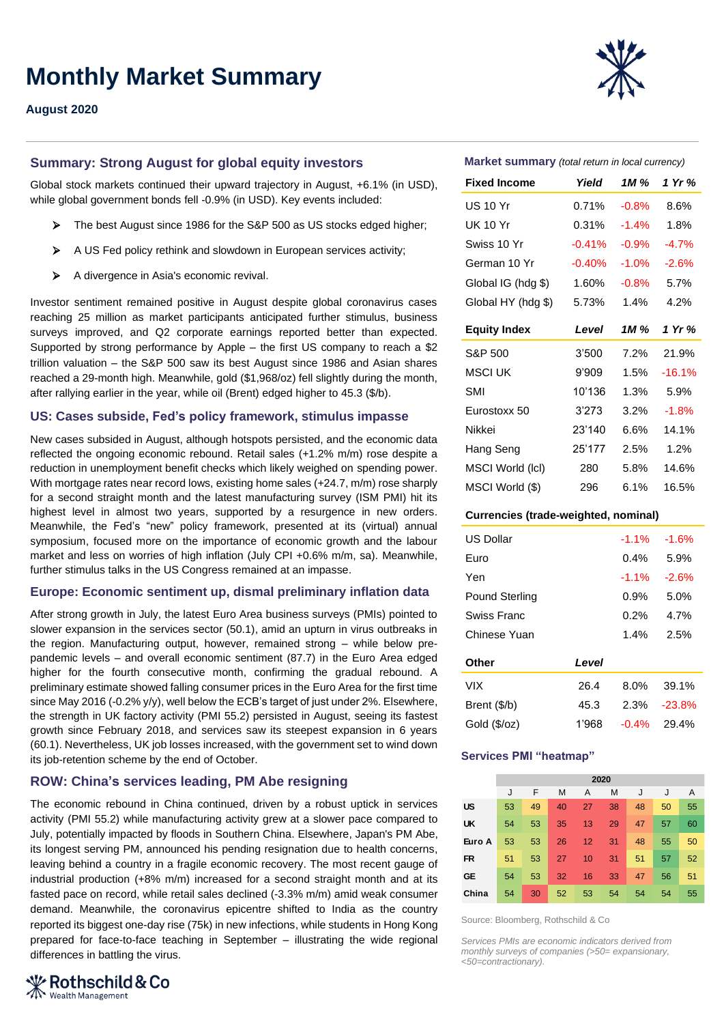# **Monthly Market Summary**

## **August 2020**

## **Summary: Strong August for global equity investors**

Global stock markets continued their upward trajectory in August, +6.1% (in USD), while global government bonds fell -0.9% (in USD). Key events included:

- ➢ The best August since 1986 for the S&P 500 as US stocks edged higher;
- ➢ A US Fed policy rethink and slowdown in European services activity;
- ➢ A divergence in Asia's economic revival.

Investor sentiment remained positive in August despite global coronavirus cases reaching 25 million as market participants anticipated further stimulus, business surveys improved, and Q2 corporate earnings reported better than expected. Supported by strong performance by Apple – the first US company to reach a \$2 trillion valuation – the S&P 500 saw its best August since 1986 and Asian shares reached a 29-month high. Meanwhile, gold (\$1,968/oz) fell slightly during the month, after rallying earlier in the year, while oil (Brent) edged higher to 45.3 (\$/b).

### **US: Cases subside, Fed's policy framework, stimulus impasse**

New cases subsided in August, although hotspots persisted, and the economic data reflected the ongoing economic rebound. Retail sales (+1.2% m/m) rose despite a reduction in unemployment benefit checks which likely weighed on spending power. With mortgage rates near record lows, existing home sales (+24.7, m/m) rose sharply for a second straight month and the latest manufacturing survey (ISM PMI) hit its highest level in almost two years, supported by a resurgence in new orders. Meanwhile, the Fed's "new" policy framework, presented at its (virtual) annual symposium, focused more on the importance of economic growth and the labour market and less on worries of high inflation (July CPI +0.6% m/m, sa). Meanwhile, further stimulus talks in the US Congress remained at an impasse.

### **Europe: Economic sentiment up, dismal preliminary inflation data**

After strong growth in July, the latest Euro Area business surveys (PMIs) pointed to slower expansion in the services sector (50.1), amid an upturn in virus outbreaks in the region. Manufacturing output, however, remained strong – while below prepandemic levels – and overall economic sentiment (87.7) in the Euro Area edged higher for the fourth consecutive month, confirming the gradual rebound. A preliminary estimate showed falling consumer prices in the Euro Area for the first time since May 2016 (-0.2% y/y), well below the ECB's target of just under 2%. Elsewhere, the strength in UK factory activity (PMI 55.2) persisted in August, seeing its fastest growth since February 2018, and services saw its steepest expansion in 6 years (60.1). Nevertheless, UK job losses increased, with the government set to wind down its job-retention scheme by the end of October.

## **ROW: China's services leading, PM Abe resigning**

The economic rebound in China continued, driven by a robust uptick in services activity (PMI 55.2) while manufacturing activity grew at a slower pace compared to July, potentially impacted by floods in Southern China. Elsewhere, Japan's PM Abe, its longest serving PM, announced his pending resignation due to health concerns, leaving behind a country in a fragile economic recovery. The most recent gauge of industrial production (+8% m/m) increased for a second straight month and at its fasted pace on record, while retail sales declined (-3.3% m/m) amid weak consumer demand. Meanwhile, the coronavirus epicentre shifted to India as the country reported its biggest one-day rise (75k) in new infections, while students in Hong Kong prepared for face-to-face teaching in September – illustrating the wide regional differences in battling the virus.





#### **Market summary** *(total return in local currency)*

| <b>Fixed Income</b> | Yield    | 1M %    | 1 Yr %   |
|---------------------|----------|---------|----------|
| <b>US 10 Yr</b>     | 0.71%    | $-0.8%$ | 8.6%     |
| <b>UK 10 Yr</b>     | 0.31%    | $-1.4%$ | 1.8%     |
| Swiss 10 Yr         | $-0.41%$ | $-0.9%$ | $-4.7%$  |
| German 10 Yr        | $-0.40%$ | $-1.0%$ | $-2.6%$  |
| Global IG (hdg \$)  | 1.60%    | $-0.8%$ | 5.7%     |
| Global HY (hdg \$)  | 5.73%    | 1.4%    | 4.2%     |
| <b>Equity Index</b> | Level    | 1M %    | 1 Yr %   |
| S&P 500             | 3'500    | 7.2%    | 21.9%    |
| MSCI UK             | 9'909    | 1.5%    | $-16.1%$ |
| SMI                 | 10'136   | 1.3%    | 5.9%     |
| Eurostoxx 50        | 3'273    | 3.2%    | $-1.8%$  |
| Nikkei              | 23'140   | 6.6%    | 14.1%    |
| Hang Seng           | 25'177   | 2.5%    | 1.2%     |
| MSCI World (lcl)    | 280      | 5.8%    | 14.6%    |
| MSCI World (\$)     | 296      | 6.1%    | 16.5%    |

#### **Currencies (trade-weighted, nominal)**

| US Dollar      |       | $-1.1%$ | $-1.6%$   |
|----------------|-------|---------|-----------|
| Euro           |       | $0.4\%$ | 5.9%      |
| Yen            |       | $-1.1%$ | $-2.6%$   |
| Pound Sterling |       | $0.9\%$ | 5.0%      |
| Swiss Franc    |       | $0.2\%$ | 4.7%      |
| Chinese Yuan   |       | 1.4%    | 2.5%      |
| Other          | Level |         |           |
| <b>VIX</b>     | 26.4  | $8.0\%$ | 39.1%     |
| Brent (\$/b)   | 45.3  | 2.3%    | $-23.8\%$ |
| Gold (\$/oz)   | 1'968 | $-0.4%$ | 29.4%     |
|                |       |         |           |

## **Services PMI "heatmap"**

|           | 2020 |    |    |    |    |    |    |    |
|-----------|------|----|----|----|----|----|----|----|
|           | J    | F  | M  | A  | M  | J  | J  | A  |
| <b>US</b> | 53   | 49 | 40 | 27 | 38 | 48 | 50 | 55 |
| <b>UK</b> | 54   | 53 | 35 | 13 | 29 | 47 | 57 | 60 |
| Euro A    | 53   | 53 | 26 | 12 | 31 | 48 | 55 | 50 |
| <b>FR</b> | 51   | 53 | 27 | 10 | 31 | 51 | 57 | 52 |
| <b>GE</b> | 54   | 53 | 32 | 16 | 33 | 47 | 56 | 51 |
| China     | 54   | 30 | 52 | 53 | 54 | 54 | 54 | 55 |

Source: Bloomberg, Rothschild & Co

*Services PMIs are economic indicators derived from monthly surveys of companies (>50= expansionary, <50=contractionary).*